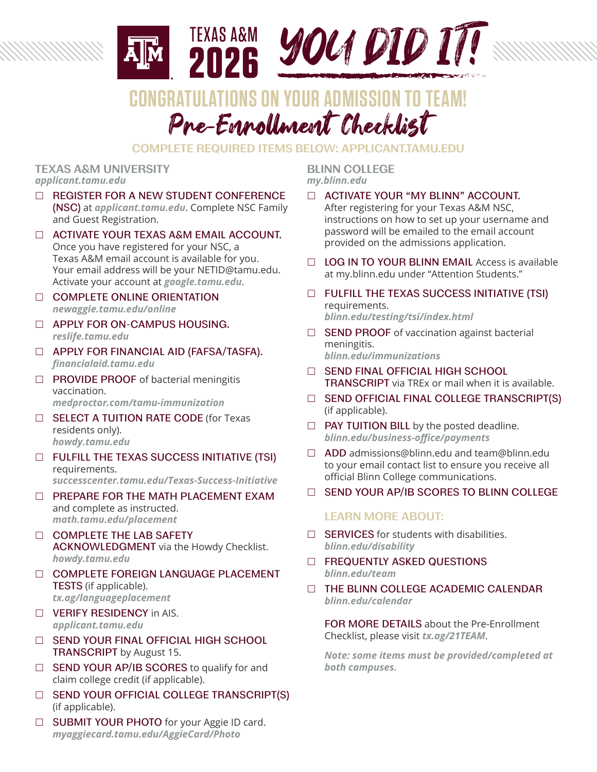

# Pre-Enrollment Checklist **CONGRATULATIONS ON YOUR ADMISSION TO**

# **COMPLETE REQUIRED ITEMS BELOW: APPLICANT.TAMU.EDU**

#### **TEXAS A&M UNIVERSITY** *applicant.tamu.edu*

- □ REGISTER FOR A NEW STUDENT CONFERENCE (NSC) at *applicant.tamu.edu*. Complete NSC Family and Guest Registration.
- ACTIVATE YOUR TEXAS A&M EMAIL ACCOUNT. Once you have registered for your NSC, a Texas A&M email account is available for you. Your email address will be your NETID@tamu.edu. Activate your account at *google.tamu.edu*.
- **COMPLETE ONLINE ORIENTATION** *newaggie.tamu.edu/online*
- □ APPLY FOR ON-CAMPUS HOUSING. *reslife.tamu.edu*
- **D APPLY FOR FINANCIAL AID (FAFSA/TASFA).** *financialaid.tamu.edu*
- $\Box$  PROVIDE PROOF of bacterial meningitis vaccination. *medproctor.com/tamu-immunization*
- □ SELECT A TUITION RATE CODE (for Texas residents only). *howdy.tamu.edu*
- FULFILL THE TEXAS SUCCESS INITIATIVE (TSI) requirements. *successcenter.tamu.edu/Texas-Success-Initiative*
- **DEPARE FOR THE MATH PLACEMENT EXAM** and complete as instructed. *math.tamu.edu/placement*
- COMPLETE THE LAB SAFETY ACKNOWLEDGMENT via the Howdy Checklist. *howdy.tamu.edu*
- COMPLETE FOREIGN LANGUAGE PLACEMENT TESTS (if applicable). *tx.ag/languageplacement*
- **U** VERIFY RESIDENCY in AIS. *applicant.tamu.edu*
- □ SEND YOUR FINAL OFFICIAL HIGH SCHOOL TRANSCRIPT by August 15.
- $\Box$  SEND YOUR AP/IB SCORES to qualify for and claim college credit (if applicable).
- □ SEND YOUR OFFICIAL COLLEGE TRANSCRIPT(S) (if applicable).
- □ SUBMIT YOUR PHOTO for your Aggie ID card. *myaggiecard.tamu.edu/AggieCard/Photo*

**BLINN COLLEGE** *my.blinn.edu*

- ACTIVATE YOUR "MY BLINN" ACCOUNT. After registering for your Texas A&M NSC, instructions on how to set up your username and password will be emailed to the email account provided on the admissions application.
- □ LOG IN TO YOUR BLINN EMAIL Access is available at my.blinn.edu under "Attention Students."
- $\Box$  FULFILL THE TEXAS SUCCESS INITIATIVE (TSI) requirements. *blinn.edu/testing/tsi/index.html*
- $\Box$  SEND PROOF of vaccination against bacterial meningitis. *blinn.edu/immunizations*
- □ SEND FINAL OFFICIAL HIGH SCHOOL TRANSCRIPT via TREx or mail when it is available.
- □ SEND OFFICIAL FINAL COLLEGE TRANSCRIPT(S) (if applicable).
- $\Box$  PAY TUITION BILL by the posted deadline. *blinn.edu/business-office/payments*
- $\Box$  ADD admissions@blinn.edu and team@blinn.edu to your email contact list to ensure you receive all official Blinn College communications.
- □ SEND YOUR AP/IB SCORES TO BLINN COLLEGE

# **LEARN MORE ABOUT:**

- $\Box$  SERVICES for students with disabilities. *blinn.edu/disability*
- **EXECUENTLY ASKED QUESTIONS** *blinn.edu/team*
- THE BLINN COLLEGE ACADEMIC CALENDAR *blinn.edu/calendar*

FOR MORE DETAILS about the Pre-Enrollment Checklist, please visit *tx.ag/21TEAM*.

*Note: some items must be provided/completed at both campuses.*